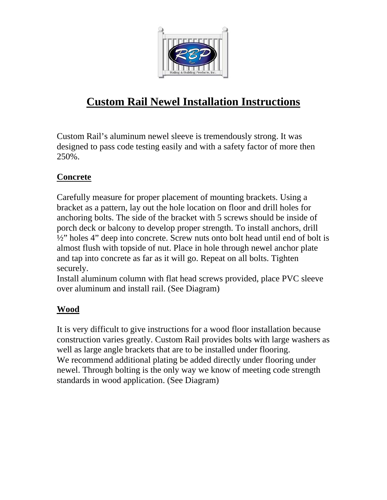

## **Custom Rail Newel Installation Instructions**

Custom Rail's aluminum newel sleeve is tremendously strong. It was designed to pass code testing easily and with a safety factor of more then 250%.

## **Concrete**

Carefully measure for proper placement of mounting brackets. Using a bracket as a pattern, lay out the hole location on floor and drill holes for anchoring bolts. The side of the bracket with 5 screws should be inside of porch deck or balcony to develop proper strength. To install anchors, drill ½" holes 4" deep into concrete. Screw nuts onto bolt head until end of bolt is almost flush with topside of nut. Place in hole through newel anchor plate and tap into concrete as far as it will go. Repeat on all bolts. Tighten securely.

Install aluminum column with flat head screws provided, place PVC sleeve over aluminum and install rail. (See Diagram)

## **Wood**

It is very difficult to give instructions for a wood floor installation because construction varies greatly. Custom Rail provides bolts with large washers as well as large angle brackets that are to be installed under flooring. We recommend additional plating be added directly under flooring under newel. Through bolting is the only way we know of meeting code strength standards in wood application. (See Diagram)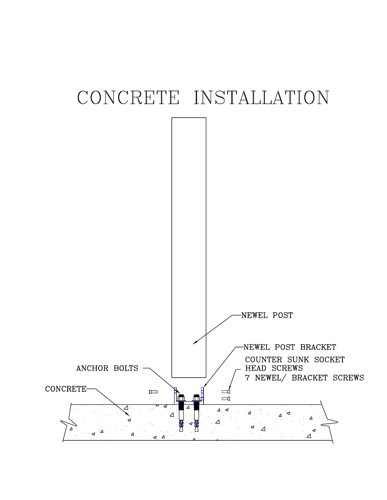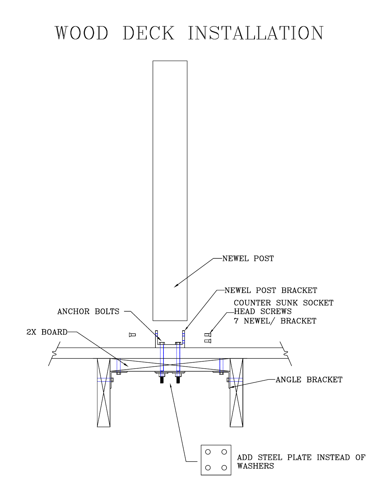